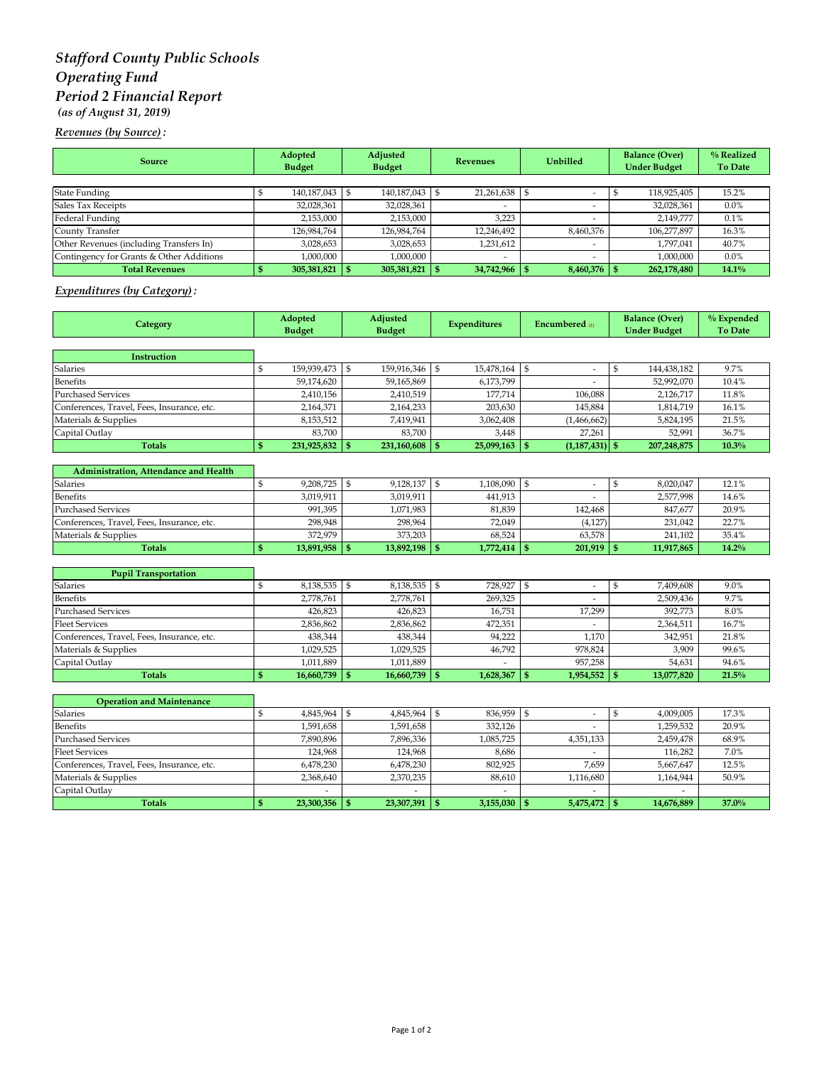# *Stafford County Public Schools Operating Fund Period 2 Financial Report (as of August 31, 2019)*

*Revenues (by Source) :*

| <b>Source</b>                            | Adopted<br><b>Budget</b> |                | Adjusted<br><b>Budget</b> |                | Revenues |            | <b>Unbilled</b> |                          | <b>Balance (Over)</b><br><b>Under Budget</b> |             | % Realized<br><b>To Date</b> |
|------------------------------------------|--------------------------|----------------|---------------------------|----------------|----------|------------|-----------------|--------------------------|----------------------------------------------|-------------|------------------------------|
|                                          |                          |                |                           |                |          |            |                 |                          |                                              |             |                              |
| <b>State Funding</b>                     |                          | 140,187,043 \$ |                           | 140,187,043 \$ |          | 21,261,638 |                 |                          |                                              | 118,925,405 | 15.2%                        |
| Sales Tax Receipts                       |                          | 32,028,361     |                           | 32,028,361     |          | -          |                 | $\overline{\phantom{a}}$ |                                              | 32,028,361  | $0.0\%$                      |
| Federal Funding                          |                          | 2,153,000      |                           | 2,153,000      |          | 3.223      |                 |                          |                                              | 2.149.777   | 0.1%                         |
| County Transfer                          |                          | 126,984,764    |                           | 126,984,764    |          | 12,246,492 |                 | 8,460,376                |                                              | 106,277,897 | 16.3%                        |
| Other Revenues (including Transfers In)  |                          | 3,028,653      |                           | 3,028,653      |          | 1,231,612  |                 |                          |                                              | 1,797,041   | 40.7%                        |
| Contingency for Grants & Other Additions |                          | 1,000,000      |                           | 1,000,000      |          | -          |                 |                          |                                              | 1,000,000   | $0.0\%$                      |
| <b>Total Revenues</b>                    |                          | 305,381,821    |                           | 305,381,821    |          | 34,742,966 |                 | $8,460,376$ \\$          |                                              | 262,178,480 | 14.1%                        |

### *Expenditures (by Category) :*

| Category                                   | Adopted<br><b>Budget</b> |                 | Adjusted<br><b>Budget</b> |                 | <b>Expenditures</b> |                | Encumbered $\omega$ |                          | <b>Balance (Over)</b><br><b>Under Budget</b> |             | % Expended<br><b>To Date</b> |
|--------------------------------------------|--------------------------|-----------------|---------------------------|-----------------|---------------------|----------------|---------------------|--------------------------|----------------------------------------------|-------------|------------------------------|
|                                            |                          |                 |                           |                 |                     |                |                     |                          |                                              |             |                              |
| <b>Instruction</b>                         |                          |                 |                           |                 |                     |                |                     |                          |                                              |             |                              |
| Salaries                                   | \$                       | 159,939,473     | $\mathfrak{S}$            | 159,916,346     | \$                  | 15,478,164     | $\$$                | ÷.                       | \$                                           | 144,438,182 | 9.7%                         |
| <b>Benefits</b>                            |                          | 59,174,620      |                           | 59,165,869      |                     | 6,173,799      |                     |                          |                                              | 52,992,070  | 10.4%                        |
| <b>Purchased Services</b>                  |                          | 2,410,156       |                           | 2,410,519       |                     | 177,714        |                     | 106,088                  |                                              | 2,126,717   | 11.8%                        |
| Conferences, Travel, Fees, Insurance, etc. |                          | 2,164,371       |                           | 2,164,233       |                     | 203,630        |                     | 145,884                  |                                              | 1,814,719   | 16.1%                        |
| Materials & Supplies                       |                          | 8,153,512       |                           | 7,419,941       |                     | 3,062,408      |                     | (1,466,662)              |                                              | 5,824,195   | 21.5%                        |
| Capital Outlay                             |                          | 83,700          |                           | 83,700          |                     | 3,448          |                     | 27,261                   |                                              | 52,991      | 36.7%                        |
| <b>Totals</b>                              | \$                       | 231,925,832 \$  |                           | 231,160,608     | $\mathbf{s}$        | 25,099,163     | $\mathbf{s}$        | $(1,187,431)$ \$         |                                              | 207,248,875 | 10.3%                        |
| Administration, Attendance and Health      |                          |                 |                           |                 |                     |                |                     |                          |                                              |             |                              |
| <b>Salaries</b>                            | \$                       | 9,208,725       | \$                        | 9,128,137       | \$                  | 1,108,090      | \$                  | $\sim$                   | \$                                           | 8,020,047   | 12.1%                        |
| Benefits                                   |                          | 3,019,911       |                           | 3,019,911       |                     | 441,913        |                     |                          |                                              | 2,577,998   | $14.6\%$                     |
| <b>Purchased Services</b>                  |                          | 991,395         |                           | 1,071,983       |                     | 81,839         |                     | 142,468                  |                                              | 847,677     | 20.9%                        |
| Conferences, Travel, Fees, Insurance, etc. |                          | 298,948         |                           | 298,964         |                     | 72,049         |                     | (4, 127)                 |                                              | 231,042     | 22.7%                        |
| Materials & Supplies                       |                          | 372,979         |                           | 373,203         |                     | 68,524         |                     | 63,578                   |                                              | 241,102     | 35.4%                        |
| <b>Totals</b>                              | \$                       | 13,891,958 \$   |                           | 13,892,198      | $\mathbf{s}$        | 1,772,414      | $\mathbf{s}$        | $201,919$ \$             |                                              | 11,917,865  | 14.2%                        |
|                                            |                          |                 |                           |                 |                     |                |                     |                          |                                              |             |                              |
| <b>Pupil Transportation</b>                |                          |                 |                           |                 |                     |                |                     |                          |                                              |             |                              |
| Salaries                                   | \$                       | 8,138,535       | \$                        | 8,138,535       | \$                  | 728,927        | \$                  | $\overline{\phantom{a}}$ | \$                                           | 7,409,608   | 9.0%                         |
| Benefits                                   |                          | 2,778,761       |                           | 2,778,761       |                     | 269,325        |                     |                          |                                              | 2,509,436   | 9.7%                         |
| <b>Purchased Services</b>                  |                          | 426,823         |                           | 426,823         |                     | 16,751         |                     | 17,299                   |                                              | 392,773     | 8.0%                         |
| <b>Fleet Services</b>                      |                          | 2,836,862       |                           | 2,836,862       |                     | 472,351        |                     |                          |                                              | 2,364,511   | 16.7%                        |
| Conferences, Travel, Fees, Insurance, etc. |                          | 438,344         |                           | 438,344         |                     | 94,222         |                     | 1,170                    |                                              | 342,951     | 21.8%                        |
| Materials & Supplies                       |                          | 1,029,525       |                           | 1,029,525       |                     | 46,792         |                     | 978,824                  |                                              | 3,909       | 99.6%                        |
| Capital Outlay                             |                          | 1,011,889       |                           | 1,011,889       |                     |                |                     | 957,258                  |                                              | 54,631      | 94.6%                        |
| <b>Totals</b>                              | \$                       | 16,660,739      | <sup>\$</sup>             | 16,660,739      | $\mathbf{s}$        | 1,628,367      | $\mathbf{s}$        | 1,954,552                | $\mathbf{s}$                                 | 13,077,820  | 21.5%                        |
| <b>Operation and Maintenance</b>           |                          |                 |                           |                 |                     |                |                     |                          |                                              |             |                              |
| Salaries                                   | \$                       | 4,845,964 \$    |                           | 4,845,964       | $\mathbb{S}$        | 836,959        | $\$$                | ä,                       | \$                                           | 4,009,005   | 17.3%                        |
| Benefits                                   |                          | 1,591,658       |                           | 1,591,658       |                     | 332.126        |                     | ÷                        |                                              | 1,259,532   | 20.9%                        |
| <b>Purchased Services</b>                  |                          | 7,890,896       |                           | 7,896,336       |                     | 1,085,725      |                     | 4,351,133                |                                              | 2,459,478   | 68.9%                        |
| <b>Fleet Services</b>                      |                          | 124,968         |                           | 124,968         |                     | 8,686          |                     |                          |                                              | 116,282     | 7.0%                         |
| Conferences, Travel, Fees, Insurance, etc. |                          | 6,478,230       |                           | 6,478,230       |                     | 802,925        |                     | 7,659                    |                                              | 5,667,647   | 12.5%                        |
| Materials & Supplies                       |                          | 2,368,640       |                           | 2,370,235       |                     | 88,610         |                     | 1,116,680                |                                              | 1,164,944   | 50.9%                        |
| Capital Outlay                             |                          |                 |                           |                 |                     |                |                     |                          |                                              |             |                              |
| <b>Totals</b>                              | $\mathbf{s}$             | $23,300,356$ \$ |                           | $23,307,391$ \$ |                     | $3,155,030$ \$ |                     | $5,475,472$ \$           |                                              | 14,676,889  | 37.0%                        |